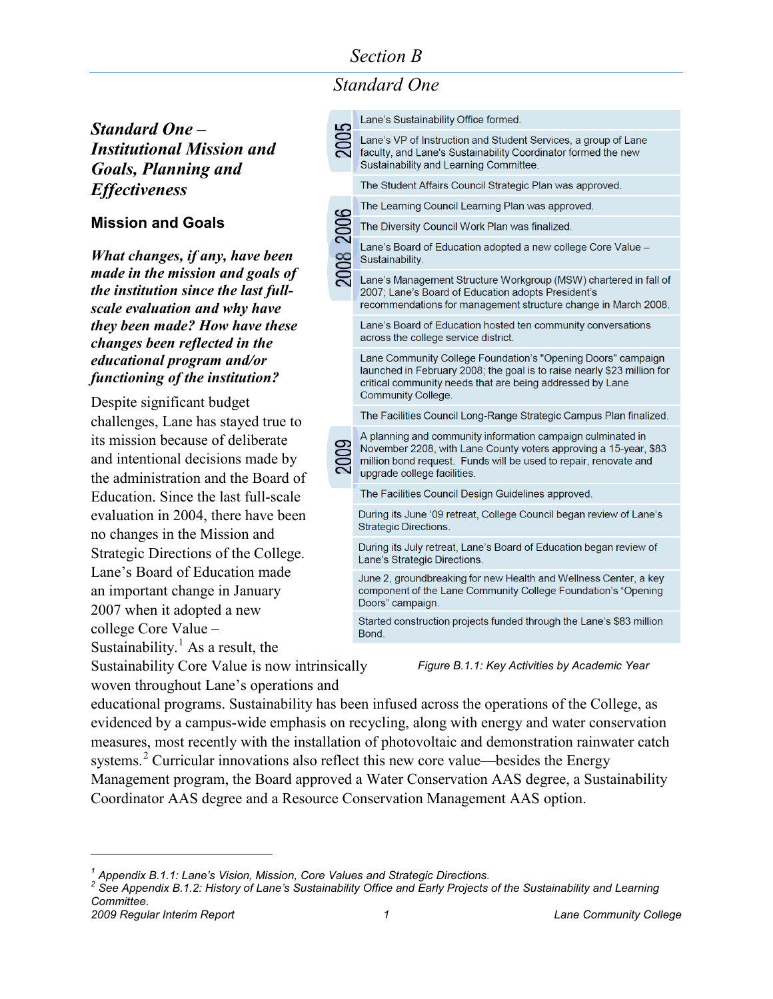# *Standard One*

*Standard One – Institutional Mission and Goals, Planning and Effectiveness*

#### **Mission and Goals**

*What changes, if any, have been made in the mission and goals of the institution since the last fullscale evaluation and why have they been made? How have these changes been reflected in the educational program and/or functioning of the institution?*

Despite significant budget challenges, Lane has stayed true to its mission because of deliberate and intentional decisions made by the administration and the Board of Education. Since the last full-scale evaluation in 2004, there have been no changes in the Mission and Strategic Directions of the College. Lane's Board of Education made an important change in January 2007 when it adopted a new college Core Value – Sustainability.<sup>[1](#page-0-0)</sup> As a result, the

Sustainability Core Value is now intrinsically woven throughout Lane's operations and

| 2005      | Lane's Sustainability Office formed.                                                                                                                                                                                               |
|-----------|------------------------------------------------------------------------------------------------------------------------------------------------------------------------------------------------------------------------------------|
|           | Lane's VP of Instruction and Student Services, a group of Lane<br>faculty, and Lane's Sustainability Coordinator formed the new<br>Sustainability and Learning Committee.                                                          |
|           | The Student Affairs Council Strategic Plan was approved.                                                                                                                                                                           |
| 2008 2006 | The Learning Council Learning Plan was approved.                                                                                                                                                                                   |
|           | The Diversity Council Work Plan was finalized.                                                                                                                                                                                     |
|           | Lane's Board of Education adopted a new college Core Value -<br>Sustainability.                                                                                                                                                    |
|           | Lane's Management Structure Workgroup (MSW) chartered in fall of<br>2007; Lane's Board of Education adopts President's<br>recommendations for management structure change in March 2008.                                           |
|           | Lane's Board of Education hosted ten community conversations<br>across the college service district.                                                                                                                               |
|           | Lane Community College Foundation's "Opening Doors" campaign<br>launched in February 2008; the goal is to raise nearly \$23 million for<br>critical community needs that are being addressed by Lane<br>Community College.         |
|           | The Facilities Council Long-Range Strategic Campus Plan finalized.                                                                                                                                                                 |
|           | A planning and community information campaign culminated in<br>November 2208, with Lane County voters approving a 15-year, \$83<br>million bond request. Funds will be used to repair, renovate and<br>upgrade college facilities. |
|           | The Facilities Council Design Guidelines approved.                                                                                                                                                                                 |
|           | During its June '09 retreat, College Council began review of Lane's<br><b>Strategic Directions.</b>                                                                                                                                |
|           | During its July retreat, Lane's Board of Education began review of<br>Lane's Strategic Directions.                                                                                                                                 |
|           | June 2, groundbreaking for new Health and Wellness Center, a key<br>component of the Lane Community College Foundation's "Opening<br>Doors" campaign.                                                                              |
|           | Started construction projects funded through the Lane's \$83 million<br>Bond.                                                                                                                                                      |
|           |                                                                                                                                                                                                                                    |

*Figure B.1.1: Key Activities by Academic Year*

educational programs. Sustainability has been infused across the operations of the College, as evidenced by a campus-wide emphasis on recycling, along with energy and water conservation measures, most recently with the installation of photovoltaic and demonstration rainwater catch systems.<sup>[2](#page-0-1)</sup> Curricular innovations also reflect this new core value—besides the Energy Management program, the Board approved a Water Conservation AAS degree, a Sustainability Coordinator AAS degree and a Resource Conservation Management AAS option.

<span id="page-0-1"></span><span id="page-0-0"></span>*<sup>1</sup> Appendix B.1.1: Lane's Vision, Mission, Core Values and Strategic Directions.*

*<sup>2</sup> See Appendix B.1.2: History of Lane's Sustainability Office and Early Projects of the Sustainability and Learning Committee.*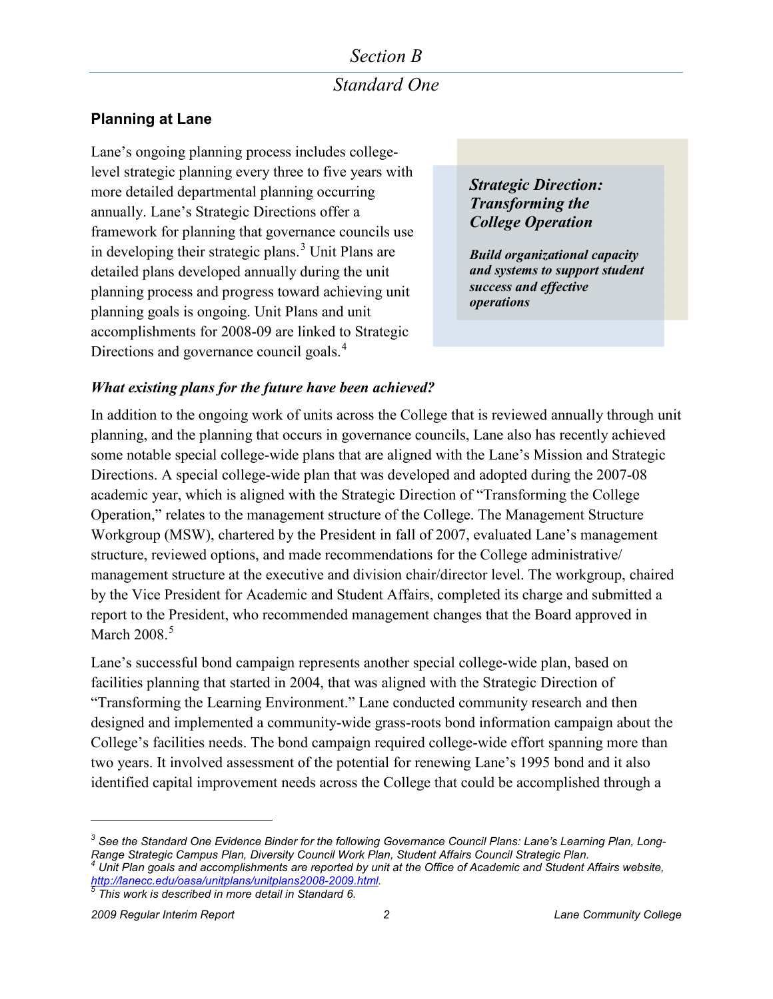# *Section B Standard One*

### **Planning at Lane**

Lane's ongoing planning process includes collegelevel strategic planning every three to five years with more detailed departmental planning occurring annually. Lane's Strategic Directions offer a framework for planning that governance councils use in developing their strategic plans. $3 \text{ Unit}$  $3 \text{ Unit}$  Plans are detailed plans developed annually during the unit planning process and progress toward achieving unit planning goals is ongoing. Unit Plans and unit accomplishments for 2008-09 are linked to Strategic Directions and governance council goals.<sup>[4](#page-1-1)</sup>

*Strategic Direction: Transforming the College Operation* 

*Build organizational capacity and systems to support student success and effective operations*

#### *What existing plans for the future have been achieved?*

In addition to the ongoing work of units across the College that is reviewed annually through unit planning, and the planning that occurs in governance councils, Lane also has recently achieved some notable special college-wide plans that are aligned with the Lane's Mission and Strategic Directions. A special college-wide plan that was developed and adopted during the 2007-08 academic year, which is aligned with the Strategic Direction of "Transforming the College Operation," relates to the management structure of the College. The Management Structure Workgroup (MSW), chartered by the President in fall of 2007, evaluated Lane's management structure, reviewed options, and made recommendations for the College administrative/ management structure at the executive and division chair/director level. The workgroup, chaired by the Vice President for Academic and Student Affairs, completed its charge and submitted a report to the President, who recommended management changes that the Board approved in March  $2008.<sup>5</sup>$  $2008.<sup>5</sup>$  $2008.<sup>5</sup>$ 

Lane's successful bond campaign represents another special college-wide plan, based on facilities planning that started in 2004, that was aligned with the Strategic Direction of "Transforming the Learning Environment." Lane conducted community research and then designed and implemented a community-wide grass-roots bond information campaign about the College's facilities needs. The bond campaign required college-wide effort spanning more than two years. It involved assessment of the potential for renewing Lane's 1995 bond and it also identified capital improvement needs across the College that could be accomplished through a

<span id="page-1-1"></span><span id="page-1-0"></span>*<sup>3</sup> See the Standard One Evidence Binder for the following Governance Council Plans: Lane's Learning Plan, Long-Range Strategic Campus Plan, Diversity Council Work Plan, Student Affairs Council Strategic Plan. <sup>4</sup> Unit Plan goals and accomplishments are reported by unit at the Office of Academic and Student Affairs website, [http://lanecc.edu/oasa/unitplans/unitplans2008-2009.html.](http://lanecc.edu/oasa/unitplans/unitplans2008-2009.html) [5](http://lanecc.edu/oasa/unitplans/unitplans2008-2009.html) This work is described in more detail in Standard 6.*

<span id="page-1-2"></span>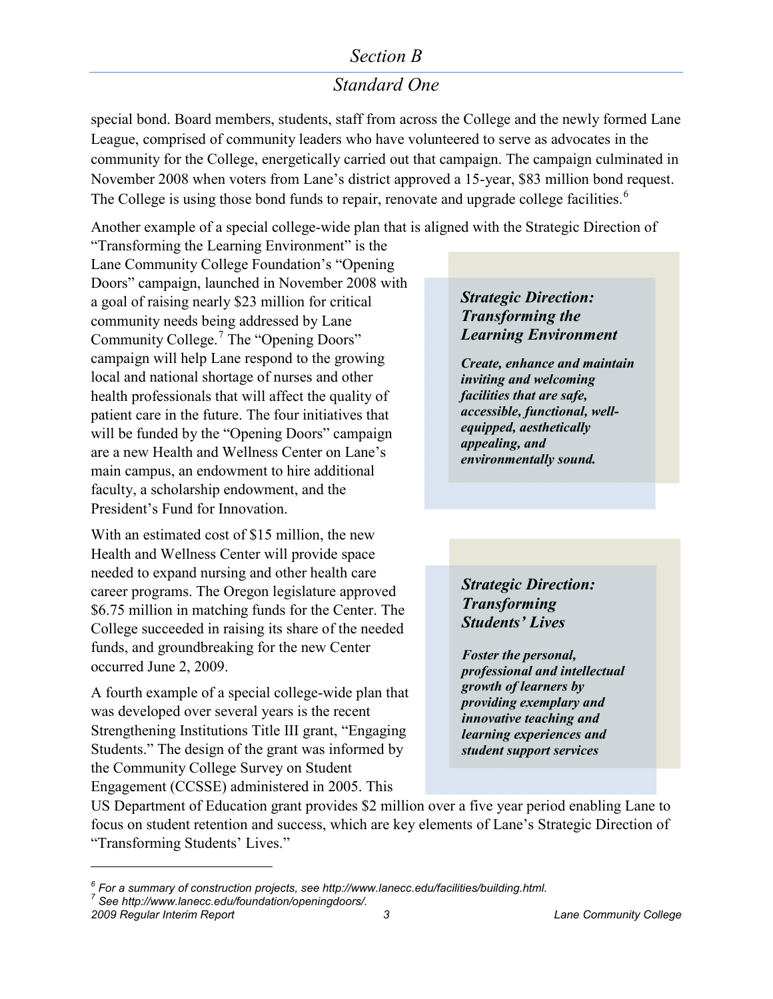# *Standard One*

special bond. Board members, students, staff from across the College and the newly formed Lane League, comprised of community leaders who have volunteered to serve as advocates in the community for the College, energetically carried out that campaign. The campaign culminated in November 2008 when voters from Lane's district approved a 15-year, \$83 million bond request. The College is using those bond funds to repair, renovate and upgrade college facilities.<sup>[6](#page-2-0)</sup>

Another example of a special college-wide plan that is aligned with the Strategic Direction of

"Transforming the Learning Environment" is the Lane Community College Foundation's "Opening Doors" campaign, launched in November 2008 with a goal of raising nearly \$23 million for critical community needs being addressed by Lane Community College.<sup>[7](#page-2-1)</sup> The "Opening Doors" campaign will help Lane respond to the growing local and national shortage of nurses and other health professionals that will affect the quality of patient care in the future. The four initiatives that will be funded by the "Opening Doors" campaign are a new Health and Wellness Center on Lane's main campus, an endowment to hire additional faculty, a scholarship endowment, and the President's Fund for Innovation.

With an estimated cost of \$15 million, the new Health and Wellness Center will provide space needed to expand nursing and other health care career programs. The Oregon legislature approved \$6.75 million in matching funds for the Center. The College succeeded in raising its share of the needed funds, and groundbreaking for the new Center occurred June 2, 2009.

A fourth example of a special college-wide plan that was developed over several years is the recent Strengthening Institutions Title III grant, "Engaging Students." The design of the grant was informed by the Community College Survey on Student Engagement (CCSSE) administered in 2005. This

#### *Strategic Direction: Transforming the Learning Environment*

*Create, enhance and maintain inviting and welcoming facilities that are safe, accessible, functional, wellequipped, aesthetically appealing, and environmentally sound.*

*Strategic Direction: Transforming Students' Lives* 

*Foster the personal, professional and intellectual growth of learners by providing exemplary and innovative teaching and learning experiences and student support services*

US Department of Education grant provides \$2 million over a five year period enabling Lane to focus on student retention and success, which are key elements of Lane's Strategic Direction of "Transforming Students' Lives."

<span id="page-2-0"></span>*<sup>6</sup> For a summary of construction projects, se[e http://www.lanecc.edu/facilities/building.html.](http://www.lanecc.edu/facilities/building.html) 7 See [http://www.lanecc.edu/foundation/openingdoors/.](http://www.lanecc.edu/foundation/openingdoors/)* 

<span id="page-2-1"></span>

*<sup>2009</sup> Regular Interim Report 3 Lane Community College*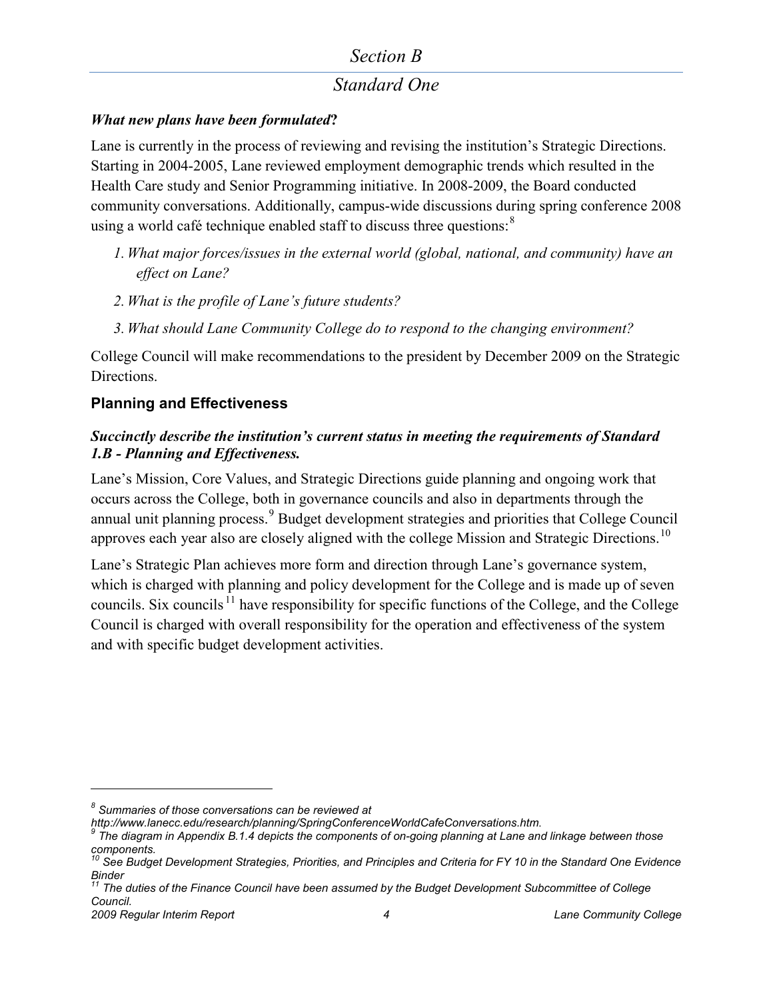# *Standard One*

#### *What new plans have been formulated***?**

Lane is currently in the process of reviewing and revising the institution's Strategic Directions. Starting in 2004-2005, Lane reviewed employment demographic trends which resulted in the Health Care study and Senior Programming initiative. In 2008-2009, the Board conducted community conversations. Additionally, campus-wide discussions during spring conference 2008 using a world café technique enabled staff to discuss three questions: $8$ 

- *1. What major forces/issues in the external world (global, national, and community) have an effect on Lane?*
- *2. What is the profile of Lane's future students?*
- *3. What should Lane Community College do to respond to the changing environment?*

College Council will make recommendations to the president by December 2009 on the Strategic Directions.

### **Planning and Effectiveness**

#### *Succinctly describe the institution's current status in meeting the requirements of Standard 1.B - Planning and Effectiveness.*

Lane's Mission, Core Values, and Strategic Directions guide planning and ongoing work that occurs across the College, both in governance councils and also in departments through the annual unit planning process.<sup>[9](#page-3-1)</sup> Budget development strategies and priorities that College Council approves each year also are closely aligned with the college Mission and Strategic Directions.<sup>[10](#page-3-2)</sup>

Lane's Strategic Plan achieves more form and direction through Lane's governance system, which is charged with planning and policy development for the College and is made up of seven councils. Six councils <sup>[11](#page-3-3)</sup> have responsibility for specific functions of the College, and the College Council is charged with overall responsibility for the operation and effectiveness of the system and with specific budget development activities.

*<sup>8</sup> Summaries of those conversations can be reviewed at* 

<span id="page-3-1"></span><span id="page-3-0"></span>*<http://www.lanecc.edu/research/planning/SpringConferenceWorldCafeConversations.htm>*. *<sup>9</sup> The diagram in Appendix B.1.4 depicts the components of on-going planning at Lane and linkage between those components.*

<span id="page-3-2"></span>*<sup>10</sup> See Budget Development Strategies, Priorities, and Principles and Criteria for FY 10 in the Standard One Evidence Binder*

<span id="page-3-3"></span>*<sup>2009</sup> Regular Interim Report 4 Lane Community College <sup>11</sup> The duties of the Finance Council have been assumed by the Budget Development Subcommittee of College Council.*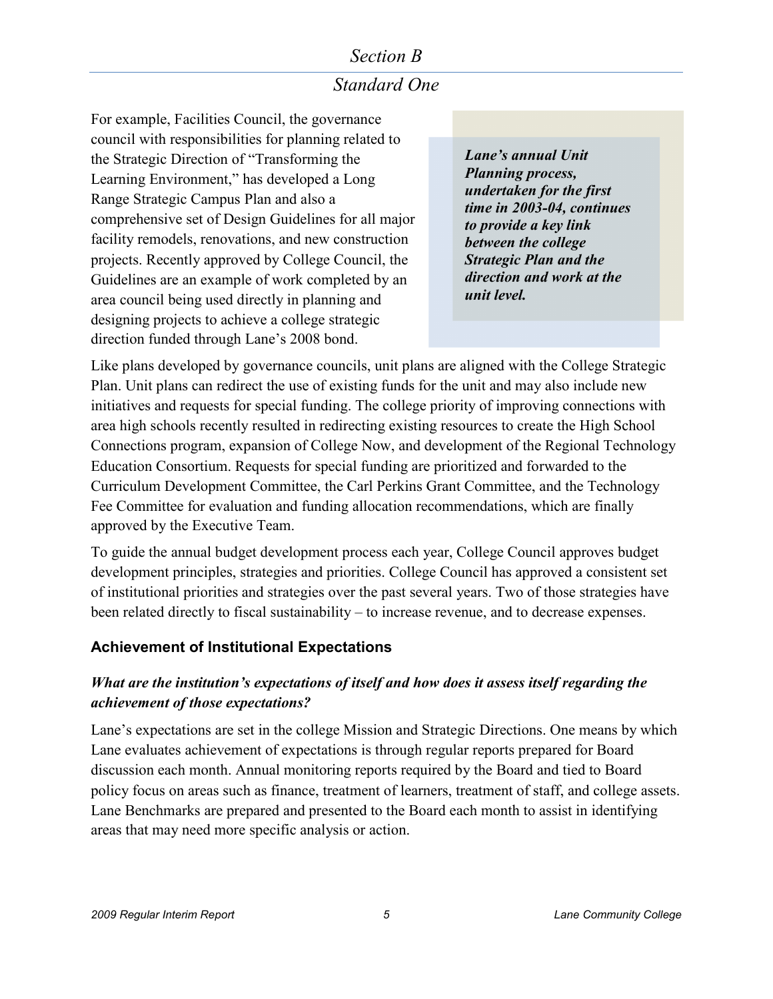# *Standard One*

For example, Facilities Council, the governance council with responsibilities for planning related to the Strategic Direction of "Transforming the Learning Environment," has developed a Long Range Strategic Campus Plan and also a comprehensive set of Design Guidelines for all major facility remodels, renovations, and new construction projects. Recently approved by College Council, the Guidelines are an example of work completed by an area council being used directly in planning and designing projects to achieve a college strategic direction funded through Lane's 2008 bond.

*Lane's annual Unit Planning process, undertaken for the first time in 2003-04, continues to provide a key link between the college Strategic Plan and the direction and work at the unit level.*

Like plans developed by governance councils, unit plans are aligned with the College Strategic Plan. Unit plans can redirect the use of existing funds for the unit and may also include new initiatives and requests for special funding. The college priority of improving connections with area high schools recently resulted in redirecting existing resources to create the High School Connections program, expansion of College Now, and development of the Regional Technology Education Consortium. Requests for special funding are prioritized and forwarded to the Curriculum Development Committee, the Carl Perkins Grant Committee, and the Technology Fee Committee for evaluation and funding allocation recommendations, which are finally approved by the Executive Team.

To guide the annual budget development process each year, College Council approves budget development principles, strategies and priorities. College Council has approved a consistent set of institutional priorities and strategies over the past several years. Two of those strategies have been related directly to fiscal sustainability – to increase revenue, and to decrease expenses.

### **Achievement of Institutional Expectations**

### *What are the institution's expectations of itself and how does it assess itself regarding the achievement of those expectations?*

Lane's expectations are set in the college Mission and Strategic Directions. One means by which Lane evaluates achievement of expectations is through regular reports prepared for Board discussion each month. Annual monitoring reports required by the Board and tied to Board policy focus on areas such as finance, treatment of learners, treatment of staff, and college assets. Lane Benchmarks are prepared and presented to the Board each month to assist in identifying areas that may need more specific analysis or action.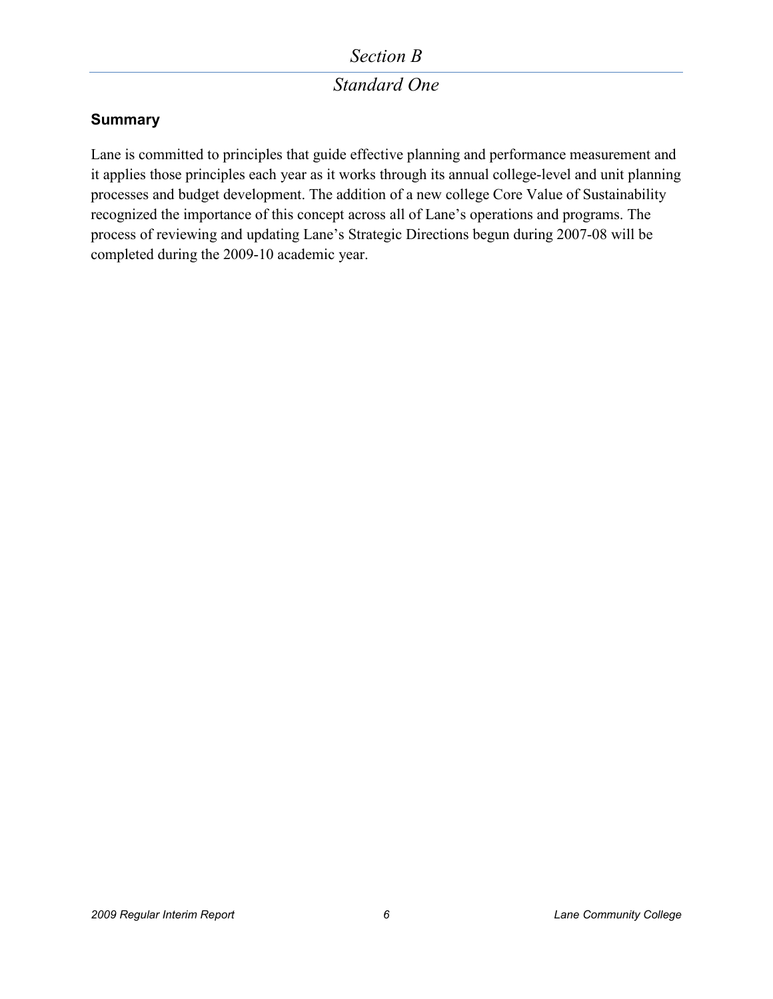# *Standard One*

### **Summary**

Lane is committed to principles that guide effective planning and performance measurement and it applies those principles each year as it works through its annual college-level and unit planning processes and budget development. The addition of a new college Core Value of Sustainability recognized the importance of this concept across all of Lane's operations and programs. The process of reviewing and updating Lane's Strategic Directions begun during 2007-08 will be completed during the 2009-10 academic year.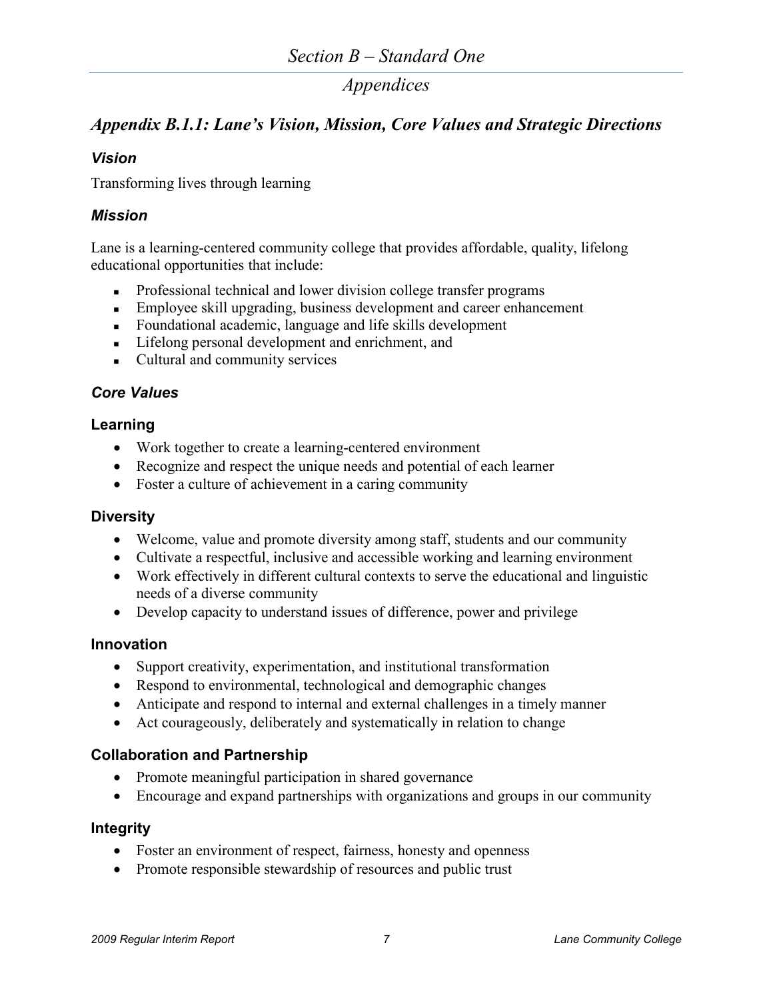# *Appendix B.1.1: Lane's Vision, Mission, Core Values and Strategic Directions*

#### *Vision*

Transforming lives through learning

#### *Mission*

Lane is a learning-centered community college that provides affordable, quality, lifelong educational opportunities that include:

- **Professional technical and lower division college transfer programs**
- **Employee skill upgrading, business development and career enhancement**
- Foundational academic, language and life skills development
- Lifelong personal development and enrichment, and
- Cultural and community services

#### *Core Values*

#### **Learning**

- Work together to create a learning-centered environment
- Recognize and respect the unique needs and potential of each learner
- Foster a culture of achievement in a caring community

#### **Diversity**

- Welcome, value and promote diversity among staff, students and our community
- Cultivate a respectful, inclusive and accessible working and learning environment
- Work effectively in different cultural contexts to serve the educational and linguistic needs of a diverse community
- Develop capacity to understand issues of difference, power and privilege

#### **Innovation**

- Support creativity, experimentation, and institutional transformation
- Respond to environmental, technological and demographic changes
- Anticipate and respond to internal and external challenges in a timely manner
- Act courageously, deliberately and systematically in relation to change

#### **Collaboration and Partnership**

- Promote meaningful participation in shared governance
- Encourage and expand partnerships with organizations and groups in our community

#### **Integrity**

- Foster an environment of respect, fairness, honesty and openness
- Promote responsible stewardship of resources and public trust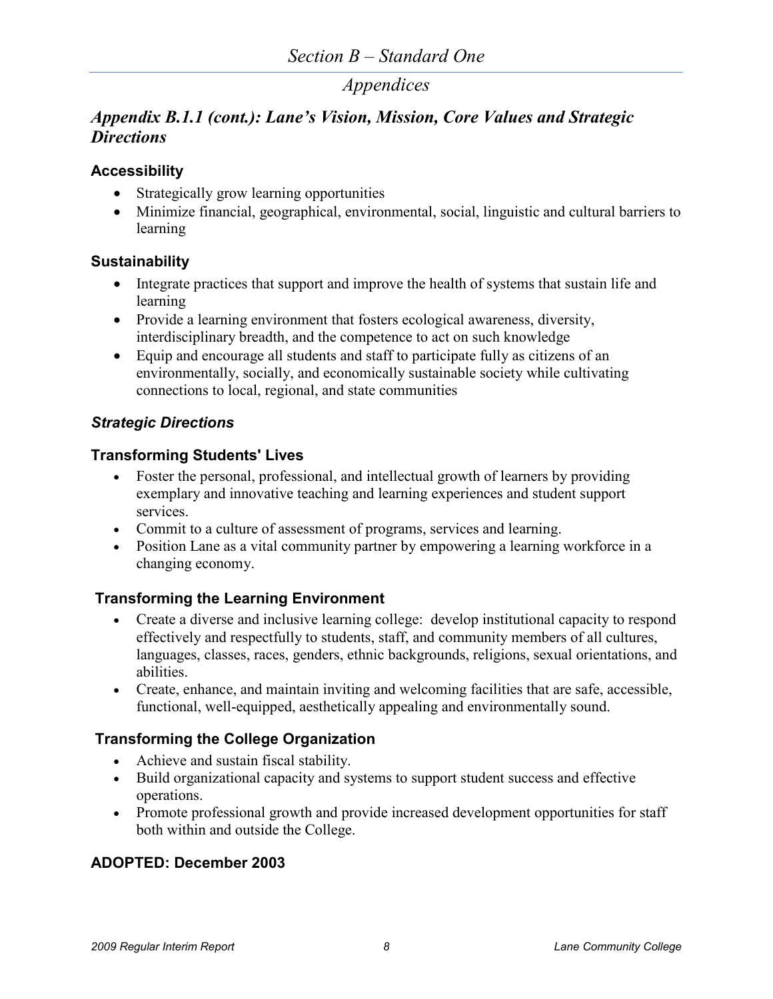# *Appendix B.1.1 (cont.): Lane's Vision, Mission, Core Values and Strategic Directions*

#### **Accessibility**

- Strategically grow learning opportunities
- Minimize financial, geographical, environmental, social, linguistic and cultural barriers to learning

### **Sustainability**

- Integrate practices that support and improve the health of systems that sustain life and learning
- Provide a learning environment that fosters ecological awareness, diversity, interdisciplinary breadth, and the competence to act on such knowledge
- Equip and encourage all students and staff to participate fully as citizens of an environmentally, socially, and economically sustainable society while cultivating connections to local, regional, and state communities

### *Strategic Directions*

#### **Transforming Students' Lives**

- Foster the personal, professional, and intellectual growth of learners by providing exemplary and innovative teaching and learning experiences and student support services.
- Commit to a culture of assessment of programs, services and learning.
- Position Lane as a vital community partner by empowering a learning workforce in a changing economy.

### **Transforming the Learning Environment**

- Create a diverse and inclusive learning college: develop institutional capacity to respond effectively and respectfully to students, staff, and community members of all cultures, languages, classes, races, genders, ethnic backgrounds, religions, sexual orientations, and abilities.
- Create, enhance, and maintain inviting and welcoming facilities that are safe, accessible, functional, well-equipped, aesthetically appealing and environmentally sound.

### **Transforming the College Organization**

- Achieve and sustain fiscal stability.
- Build organizational capacity and systems to support student success and effective operations.
- Promote professional growth and provide increased development opportunities for staff both within and outside the College.

### **ADOPTED: December 2003**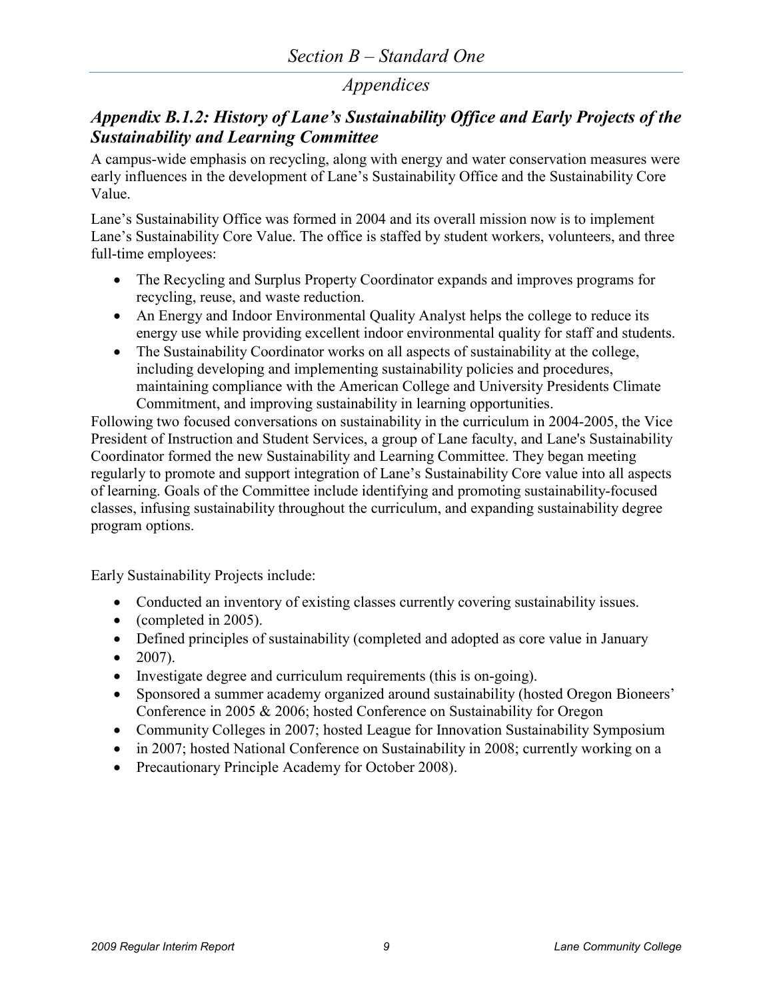### *Appendix B.1.2: History of Lane's Sustainability Office and Early Projects of the Sustainability and Learning Committee*

A campus-wide emphasis on recycling, along with energy and water conservation measures were early influences in the development of Lane's Sustainability Office and the Sustainability Core Value.

Lane's Sustainability Office was formed in 2004 and its overall mission now is to implement Lane's Sustainability Core Value. The office is staffed by student workers, volunteers, and three full-time employees:

- The Recycling and Surplus Property Coordinator expands and improves programs for recycling, reuse, and waste reduction.
- An Energy and Indoor Environmental Quality Analyst helps the college to reduce its energy use while providing excellent indoor environmental quality for staff and students.
- The Sustainability Coordinator works on all aspects of sustainability at the college, including developing and implementing sustainability policies and procedures, maintaining compliance with the American College and University Presidents Climate Commitment, and improving sustainability in learning opportunities.

Following two focused conversations on sustainability in the curriculum in 2004-2005, the Vice President of Instruction and Student Services, a group of Lane faculty, and Lane's Sustainability Coordinator formed the new Sustainability and Learning Committee. They began meeting regularly to promote and support integration of Lane's Sustainability Core value into all aspects of learning. Goals of the Committee include identifying and promoting sustainability-focused classes, infusing sustainability throughout the curriculum, and expanding sustainability degree program options.

Early Sustainability Projects include:

- Conducted an inventory of existing classes currently covering sustainability issues.
- (completed in 2005).
- Defined principles of sustainability (completed and adopted as core value in January
- $\bullet$  2007).
- Investigate degree and curriculum requirements (this is on-going).
- Sponsored a summer academy organized around sustainability (hosted Oregon Bioneers' Conference in 2005 & 2006; hosted Conference on Sustainability for Oregon
- Community Colleges in 2007; hosted League for Innovation Sustainability Symposium
- in 2007; hosted National Conference on Sustainability in 2008; currently working on a
- Precautionary Principle Academy for October 2008).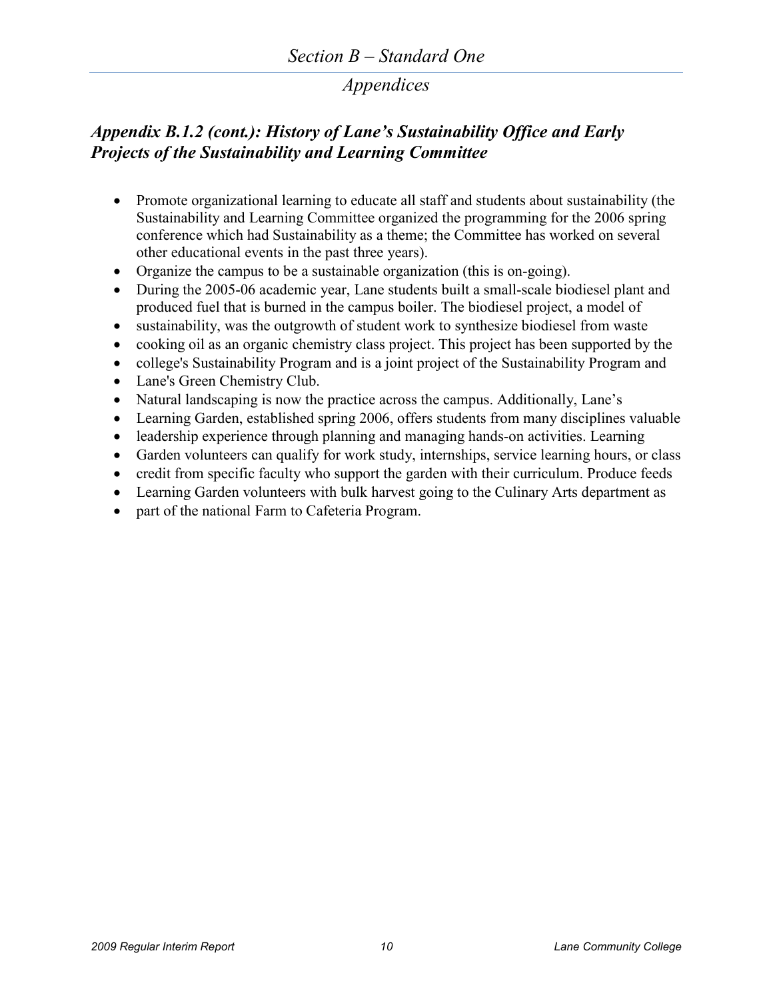# *Appendix B.1.2 (cont.): History of Lane's Sustainability Office and Early Projects of the Sustainability and Learning Committee*

- Promote organizational learning to educate all staff and students about sustainability (the Sustainability and Learning Committee organized the programming for the 2006 spring conference which had Sustainability as a theme; the Committee has worked on several other educational events in the past three years).
- Organize the campus to be a sustainable organization (this is on-going).
- During the 2005-06 academic year, Lane students built a small-scale biodiesel plant and produced fuel that is burned in the campus boiler. The biodiesel project, a model of
- sustainability, was the outgrowth of student work to synthesize biodiesel from waste
- cooking oil as an organic chemistry class project. This project has been supported by the
- college's Sustainability Program and is a joint project of the Sustainability Program and
- Lane's Green Chemistry Club.
- Natural landscaping is now the practice across the campus. Additionally, Lane's
- Learning Garden, established spring 2006, offers students from many disciplines valuable
- leadership experience through planning and managing hands-on activities. Learning
- Garden volunteers can qualify for work study, internships, service learning hours, or class
- credit from specific faculty who support the garden with their curriculum. Produce feeds
- Learning Garden volunteers with bulk harvest going to the Culinary Arts department as
- part of the national Farm to Cafeteria Program.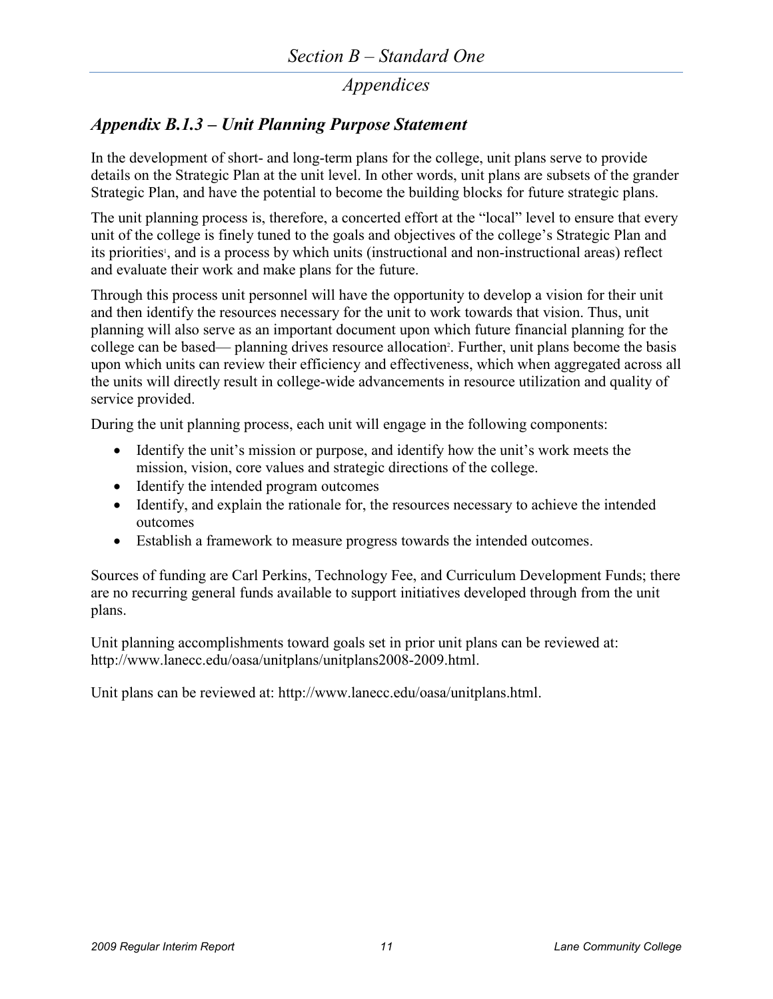## *Appendix B.1.3 – Unit Planning Purpose Statement*

In the development of short- and long-term plans for the college, unit plans serve to provide details on the Strategic Plan at the unit level. In other words, unit plans are subsets of the grander Strategic Plan, and have the potential to become the building blocks for future strategic plans.

The unit planning process is, therefore, a concerted effort at the "local" level to ensure that every unit of the college is finely tuned to the goals and objectives of the college's Strategic Plan and its priorities<sup>1</sup>, and is a process by which units (instructional and non-instructional areas) reflect and evaluate their work and make plans for the future.

Through this process unit personnel will have the opportunity to develop a vision for their unit and then identify the resources necessary for the unit to work towards that vision. Thus, unit planning will also serve as an important document upon which future financial planning for the college can be based— planning drives resource allocation<sup>2</sup>. Further, unit plans become the basis upon which units can review their efficiency and effectiveness, which when aggregated across all the units will directly result in college-wide advancements in resource utilization and quality of service provided.

During the unit planning process, each unit will engage in the following components:

- Identify the unit's mission or purpose, and identify how the unit's work meets the mission, vision, core values and strategic directions of the college.
- Identify the intended program outcomes
- Identify, and explain the rationale for, the resources necessary to achieve the intended outcomes
- Establish a framework to measure progress towards the intended outcomes.

Sources of funding are Carl Perkins, Technology Fee, and Curriculum Development Funds; there are no recurring general funds available to support initiatives developed through from the unit plans.

Unit planning accomplishments toward goals set in prior unit plans can be reviewed at: [http://www.lanecc.edu/oasa/unitplans/unitplans2008-2009.html.](http://www.lanecc.edu/oasa/unitplans/unitplans2008-2009.html)

Unit plans can be reviewed at: [http://www.lanecc.edu/oasa/unitplans.html.](http://www.lanecc.edu/oasa/unitplans.html)